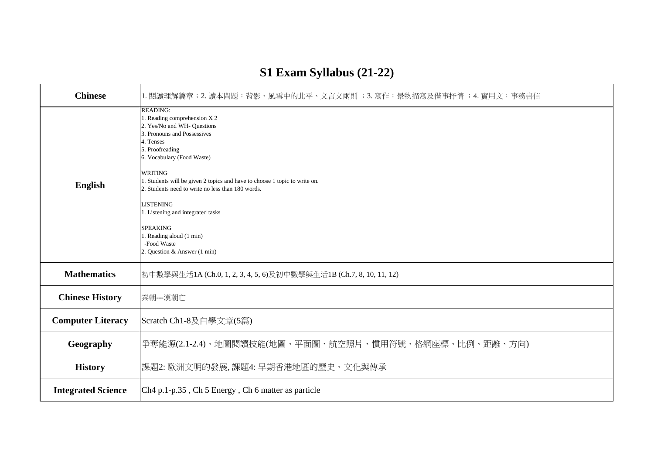| <b>Chinese</b>            | 1. 閱讀理解篇章;2. 讀本問題:背影、風雪中的北平、文言文兩則 ;3. 寫作:景物描寫及借事抒情 ;4. 實用文:事務書信                                                                                                                                                                                                                                                                                                                                                                                                                         |  |
|---------------------------|-----------------------------------------------------------------------------------------------------------------------------------------------------------------------------------------------------------------------------------------------------------------------------------------------------------------------------------------------------------------------------------------------------------------------------------------------------------------------------------------|--|
| <b>English</b>            | <b>READING:</b><br>1. Reading comprehension X 2<br>2. Yes/No and WH- Questions<br>3. Pronouns and Possessives<br>4. Tenses<br>5. Proofreading<br>6. Vocabulary (Food Waste)<br><b>WRITING</b><br>1. Students will be given 2 topics and have to choose 1 topic to write on.<br>2. Students need to write no less than 180 words.<br><b>LISTENING</b><br>1. Listening and integrated tasks<br><b>SPEAKING</b><br>1. Reading aloud (1 min)<br>-Food Waste<br>2. Question & Answer (1 min) |  |
| <b>Mathematics</b>        | 初中數學與生活1A (Ch.0, 1, 2, 3, 4, 5, 6)及初中數學與生活1B (Ch.7, 8, 10, 11, 12)                                                                                                                                                                                                                                                                                                                                                                                                                      |  |
| <b>Chinese History</b>    | 秦朝 --- 漢朝亡                                                                                                                                                                                                                                                                                                                                                                                                                                                                              |  |
| <b>Computer Literacy</b>  | Scratch Ch1-8及自學文章(5篇)                                                                                                                                                                                                                                                                                                                                                                                                                                                                  |  |
| Geography                 | 爭奪能源(2.1-2.4)、地圖閱讀技能(地圖、平面圖、航空照片、慣用符號、格網座標、比例、距離、方向)                                                                                                                                                                                                                                                                                                                                                                                                                                    |  |
| <b>History</b>            | 課題2:歐洲文明的發展,課題4:早期香港地區的歷史、文化與傳承                                                                                                                                                                                                                                                                                                                                                                                                                                                         |  |
| <b>Integrated Science</b> | Ch <sub>4</sub> p.1-p.35, Ch <sub>5</sub> Energy, Ch <sub>6</sub> matter as particle                                                                                                                                                                                                                                                                                                                                                                                                    |  |

# **S1 Exam Syllabus (21-22)**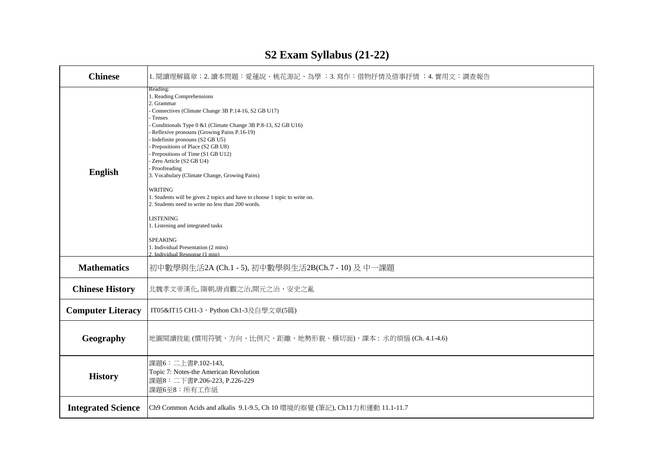| <b>Chinese</b>            | 1. 閱讀理解篇章;2. 讀本問題:愛蓮說、桃花源記、為學 ;3. 寫作:借物抒情及借事抒情 ;4. 實用文:調查報告                                                                                                                                                                                                                                                                                                                                                                                                                                                                                                                                                                                                                                                                                 |
|---------------------------|---------------------------------------------------------------------------------------------------------------------------------------------------------------------------------------------------------------------------------------------------------------------------------------------------------------------------------------------------------------------------------------------------------------------------------------------------------------------------------------------------------------------------------------------------------------------------------------------------------------------------------------------------------------------------------------------------------------------------------------------|
| <b>English</b>            | Reading:<br>1. Reading Comprehensions<br>2. Grammar<br>Connectives (Climate Change 3B P.14-16, S2 GB U17)<br>Tenses<br>Conditionals Type 0 &1 (Climate Change 3B P.8-13, S2 GB U16)<br>Reflexive pronouns (Growing Pains P.16-19)<br>Indefinite pronouns (S2 GB U5)<br>Prepositions of Place (S2 GB U8)<br>Prepositions of Time (S1 GB U12)<br>Zero Article (S2 GB U4)<br>Proofreading<br>3. Vocabulary (Climate Change, Growing Pains)<br>WRITING<br>1. Students will be given 2 topics and have to choose 1 topic to write on.<br>2. Students need to write no less than 200 words.<br><b>LISTENING</b><br>1. Listening and integrated tasks<br><b>SPEAKING</b><br>1. Individual Presentation (2 mins)<br>2. Individual Response (1 min). |
| <b>Mathematics</b>        | 初中數學與生活2A (Ch.1 - 5), 初中數學與生活2B(Ch.7 - 10) 及 中一課題                                                                                                                                                                                                                                                                                                                                                                                                                                                                                                                                                                                                                                                                                           |
| <b>Chinese History</b>    | 北魏孝文帝漢化, 隋朝,唐貞觀之治,開元之治, 安史之亂                                                                                                                                                                                                                                                                                                                                                                                                                                                                                                                                                                                                                                                                                                                |
| <b>Computer Literacy</b>  | IT05&IT15 CH1-3,Python Ch1-3及自學文章(5篇)                                                                                                                                                                                                                                                                                                                                                                                                                                                                                                                                                                                                                                                                                                       |
| Geography                 | 地圖閱讀技能 (慣用符號、方向、比例尺、距離、地勢形貌、横切面),課本: 水的煩惱 (Ch. 4.1-4.6)                                                                                                                                                                                                                                                                                                                                                                                                                                                                                                                                                                                                                                                                                     |
| <b>History</b>            | 課題6: 二上書P.102-143,<br>Topic 7: Notes-the American Revolution<br>課題8: 二下書P.206-223, P.226-229<br>課題6至8:所有工作紙                                                                                                                                                                                                                                                                                                                                                                                                                                                                                                                                                                                                                                 |
| <b>Integrated Science</b> | Ch9 Common Acids and alkalis 9.1-9.5, Ch 10 環境的察覺 (筆記), Ch11力和運動 11.1-11.7                                                                                                                                                                                                                                                                                                                                                                                                                                                                                                                                                                                                                                                                  |

# **S2 Exam Syllabus (21-22)**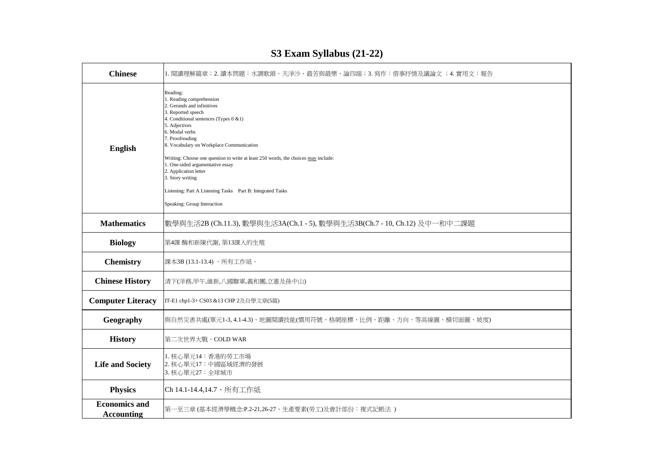| <b>Chinese</b>                     | 1. 閱讀理解篇章;2. 讀本問題:水調歌頭、天淨沙、最苦與最樂、論四端;3. 寫作:借事抒情及議論文 ;4. 實用文:報告                                                                                                                                                                                                                                                                                                                                                                                                                                          |  |
|------------------------------------|---------------------------------------------------------------------------------------------------------------------------------------------------------------------------------------------------------------------------------------------------------------------------------------------------------------------------------------------------------------------------------------------------------------------------------------------------------------------------------------------------------|--|
| <b>English</b>                     | Reading:<br>1. Reading comprehension<br>2. Gerunds and infinitives<br>3. Reported speech<br>4. Conditional sentences (Types 0 &1)<br>5. Adjectives<br>6. Modal verbs<br>7. Proofreading<br>8. Vocabulary on Workplace Communication<br>Writing: Choose one question to write at least 250 words, the choices may include:<br>1. One-sided argumentative essay<br>2. Application letter<br>3. Story writing<br>Listening: Part A Listening Tasks Part B: Integrated Tasks<br>Speaking: Group Interaction |  |
| <b>Mathematics</b>                 | 數學與生活2B (Ch.11.3), 數學與生活3A(Ch.1 - 5), 數學與生活3B(Ch.7 - 10, Ch.12) 及中一和中二課題                                                                                                                                                                                                                                                                                                                                                                                                                                |  |
| <b>Biology</b>                     | 第4課 酶和新陳代謝, 第13課人的生殖                                                                                                                                                                                                                                                                                                                                                                                                                                                                                    |  |
| <b>Chemistry</b>                   | 課本3B (13.1-13.4)、所有工作紙。                                                                                                                                                                                                                                                                                                                                                                                                                                                                                 |  |
| <b>Chinese History</b>             | 清下(洋務,甲午,維新,八國聯軍,義和團,立憲及孫中山)                                                                                                                                                                                                                                                                                                                                                                                                                                                                            |  |
| <b>Computer Literacy</b>           | IT-E1 chp1-3+ CS03 &13 CHP 2及自學文章(5篇)                                                                                                                                                                                                                                                                                                                                                                                                                                                                   |  |
| Geography                          | 與自然災害共處(單元1-3,4.1-4.3)、地圖閱讀技能(慣用符號、格網座標、比例、距離、方向、等高線圖、橫切面圖、坡度)                                                                                                                                                                                                                                                                                                                                                                                                                                          |  |
| <b>History</b>                     | 第二次世界大戰、COLD WAR                                                                                                                                                                                                                                                                                                                                                                                                                                                                                        |  |
| <b>Life and Society</b>            | 1. 核心單元14: 香港的勞工市場<br>2. 核心單元17: 中國區域經濟的發展<br>3. 核心單元27: 全球城市                                                                                                                                                                                                                                                                                                                                                                                                                                           |  |
| <b>Physics</b>                     | Ch 14.1-14.4,14.7、所有工作紙                                                                                                                                                                                                                                                                                                                                                                                                                                                                                 |  |
| <b>Economics and</b><br>Accounting | 第一至三章 (基本經濟學概念:P.2-21,26-27、生產要素(勞工)及會計部份:複式記帳法 )                                                                                                                                                                                                                                                                                                                                                                                                                                                       |  |

#### **S3 Exam Syllabus (21-22)**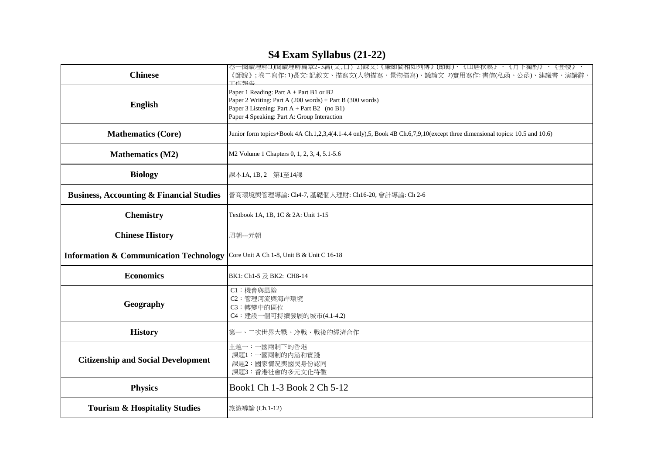## **S4 Exam Syllabus (21-22)**

| <b>Chinese</b>                                      | 卷一閱讀埋解:1)閱讀埋解扁草2-3扁(又,日) 2)課又:《廉頗閵相如列傳》(節錄)、《山居秋暝》、《月下獨酌》、《登樓》<br>《師說》;卷二寫作: 1)長文: 記敘文、描寫文(人物描寫、景物描寫)、議論文 2)實用寫作: 書信(私函、公函)、建議書、演講辭<br>工作超生                                                         |
|-----------------------------------------------------|-----------------------------------------------------------------------------------------------------------------------------------------------------------------------------------------------------|
| English                                             | Paper 1 Reading: Part A + Part B1 or B2<br>Paper 2 Writing: Part A (200 words) + Part B (300 words)<br>Paper 3 Listening: Part $A$ + Part B2 (no B1)<br>Paper 4 Speaking: Part A: Group Interaction |
| <b>Mathematics (Core)</b>                           | Junior form topics+Book 4A Ch.1,2,3,4(4.1-4.4 only),5, Book 4B Ch.6,7,9,10(except three dimensional topics: 10.5 and 10.6)                                                                          |
| <b>Mathematics (M2)</b>                             | M2 Volume 1 Chapters 0, 1, 2, 3, 4, 5.1-5.6                                                                                                                                                         |
| <b>Biology</b>                                      | 課本1A, 1B, 2 第1至14課                                                                                                                                                                                  |
| <b>Business, Accounting &amp; Financial Studies</b> | 營商環境與管理導論: Ch4-7, 基礎個人理財: Ch16-20, 會計導論: Ch 2-6                                                                                                                                                     |
| <b>Chemistry</b>                                    | Textbook 1A, 1B, 1C & 2A: Unit 1-15                                                                                                                                                                 |
| <b>Chinese History</b>                              | 周朝---元朝                                                                                                                                                                                             |
| <b>Information &amp; Communication Technology</b>   | Core Unit A Ch 1-8, Unit B & Unit C 16-18                                                                                                                                                           |
| <b>Economics</b>                                    | BK1: Ch1-5 及 BK2: CH8-14                                                                                                                                                                            |
| Geography                                           | C1:機會與風險<br>C2: 管理河流與海岸環境<br>C3:轉變中的區位<br>C4: 建設一個可持續發展的城市(4.1-4.2)                                                                                                                                 |
| <b>History</b>                                      | 第一、二次世界大戰、冷戰、戰後的經濟合作                                                                                                                                                                                |
| <b>Citizenship and Social Development</b>           | 主題一: 一國兩制下的香港<br>課題1:一國兩制的內涵和實踐<br>課題2:國家情況與國民身份認同<br>課題3:香港社會的多元文化特徵                                                                                                                               |
| <b>Physics</b>                                      | Book1 Ch 1-3 Book 2 Ch 5-12                                                                                                                                                                         |
| <b>Tourism &amp; Hospitality Studies</b>            | 旅遊導論 (Ch.1-12)                                                                                                                                                                                      |